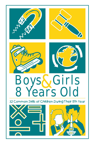

# **Boys & Girls** ears Old

32 Common Skills of Children During Their 8th Year



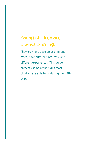# Young children are always learning.

They grow and develop at different rates, have different interests, and different experiences. This guide presents some of the skills most children are able to do during their 8th year.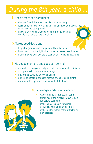# During the 8th year, a child.

#### l. Shows more self confidence

- chooses friends because they like the same things
- looks at her/his own work and can talk about what is good and what needs to be improved
- knows that mom or grandpa love her/him as much as they love other brothers and sisters

#### Makes good decisions 2.

- helps the group organize a game without being bossy •
- knows not to start a fight when someone makes her/him mad •
- makes independent decisions even when friends do not agree

#### 3. Has good manners and good self control

- uses other's things carefully and puts them back when finished •
- asks permission to use other's things
- puts things away quickly when asked
- adjusts to schedule changes without crying or complaining •
- does not interrupt when mom is on the telephone •

#### 4. Is an eager and curious learner

- explores special interests in depth •
- thinks about the different ways to do a job before beginning it •
- makes choices about materials, activities, work and play partners •
	- makes a plan before getting started on new projects

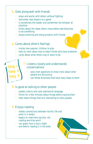#### **5**. Gets along well with friends

- plays and works with others without fighting •
- welcomes new players to a game
- is sometimes the leader and sometimes the follower at playtime
- thinks about the ideas others have before deciding how to do something
- enjoys planning and doing projects with friends

#### **6.** Cares about other's feelings

- invites less popular children to play •
- talks to mom about how to help friends who have problems
- cares about what others say or want to do

#### Listens closely and understands 7. conversations

- asks mom questions to know more about what people are discussing •
- can follow directions that have many steps to them •

#### 8. Is good at talking to other people

- speaks clearly and uses expressive language •
- thinks for a few minutes about things before saying them
- talks about things that are interesting to many people

#### Enjoys reading 9.

**Step <sup>1</sup>**

**Step <sup>2</sup>**

**Step <sup>3</sup>**

- makes connections between her/his life and what is in books
- begins to read more quickly, not reading word-by-word
- can guess how a story might end before reading it in the book

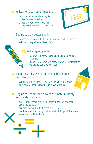#### Writes for a variety of reasons 10.

- helps mom make a shopping list •
- writes reports for school
- writes a letter to the Governor to request information on the state

#### II. Begins to be a better speller

- notices when words she/he writes are not spelled correctly •
- asks how to spell words less often •

#### Writes good stories 12.

- can write a story that has a beginning, middle and end •
- knows how to write a story that will be interesting to the person who will read it •

#### 13. Explores and solves problems using shapes and designs

- can draw a picture that is exactly like another picture •
- puts several shapes together to make a design •

#### lu, Begins to understand how to estimate, multiply and divide numbers

- guesses that there are 250 pennies in the jar, and then counts to be sure •
- explains to you that 6x3 is really 6+6+6 •
- can figure out how many cookies each child gets if there are 24 cookies and 8 children •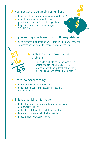#### **15**. Has a better understanding of numbers

- knows what comes next when counting 69, 79, 89,
- can add how much money (in dimes, pennies and quarters) is in the piggy bank
- begins to understand the meaning of 1/2, 1/3, 1/4 •

#### Enjoys sorting objects using two or three guidelines 16.

- sorts pictures of animals by where they live and what they eat •
- separates hockey cards by league, team and position •

#### 17. Is able to explain how to solve problems

can explain why to carry the ones when adding two digit numbers  $(27 + 16)$ •

 $\overline{O}$ 

makes a chart to keep track of how many hits and runs each baseball team gets •

#### Learns to measure things 18.

**3**

**27**

**1**

**+16**

**4**

- can tell time using a regular clock
- uses a tape measure to measure friends and family members

#### Enjoys organizing information 19.

- looks at a number of different books for information on a favorite subject
- makes lists of things to do while on vacation
- keeps a list of movies she/he has watched
- keeps a telephone/address book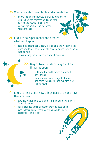#### 20. Wants to watch how plants and animals live 2. Likes to do experiments and predict what will happen 22. Begins to understand why and how things happen 23. Likes to hear about how things used to be and how they are now enjoys seeing if the tomato plant has tomatoes yet studies how the hamster holds and eats its food and how it builds its nest • looks at the animals' houses when visiting the zoo uses a magnet to see what will stick to it and what will not times how long it takes water to become an ice cube or an ice cube to melt tells how the earth moves and why it is dark at night watches how some things float in water and some things sink, and explains why this happens asks dad what he did as a child "in the olden days" before TV was invented wants grandpa to tell about the work he used to do enjoys testing the string to see how strong it is • • • • • • • • •

likes to learn games mom played as a child (jacks, hopscotch, jump rope) •

**ANDER**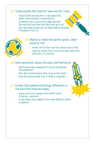#### Understands the need for laws and for rules 24.

- helps friends decide who is right about the game rules and who is playing fairly •
- pretends to be a courtroom judge and tells the men selling drugs that they must go to jail •
- tells you what she/he will do when she/he becomes President of the U.S. •

#### 25. Wants to make the earth a good, clean place to live

- knows not to litter and tells others not to litter •
- sees the smoke from a truck and asks about the pollution it is causing •

#### 26. Asks questions about the past and the future

- What would have happened if no one discovered the telephone?
- Why did we build space ships to go to the moon?
- How did anyone know how to make a computer?

#### 27. Knows that people did things differently in the past than they do today

- draws pictures of people from earlier years (Pilgrims, cavemen) •
- writes about how people's lives were different before computers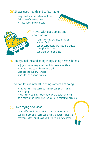#### 28. Shows good health and safety habits

- keeps body and hair clean and neat •
- follows traffic safety rules
- washes hands before meals •

#### 29. Moves with good speed and coordination

- runs, swerves, changes direction without falling •
- can do cartwheels and flips and enjoys trying harder stunts •
- can skate or roller blade •

#### 30. Enjoys making and doing things using her/his hands

- enjoys stringing very small beads to make a necklace
- wants to try to sew a button on a shirt
- uses tools to build with wood
- starts to use cursive writing

#### 3<sup>1</sup>. Shows lots of interest in things others are doing

- wants to learn the words to the new song that friends are singing
- looks closely at the artwork done by the other children
- asks her/his uncle if she/he can learn his computer program •

#### Likes trying new ideas 32.

- mixes different foods together to make a new taste
- builds a piece of artwork using many different materials
- rearranges toys and books on the shelf in a new order •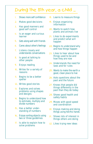## During the 8th year, a child ...

- 1. Shows more self confidence
- 2. Makes good decisions
- 3. Has good manners and good self control
- 4. Is an eager and curious learner
- 5. Gets along well with friends
- 6. Cares about other's feelings
- 7. Listens closely and understands conversations
- 8. Is good at talking to other people
- 9. Enjoys reading
- 10 Writes for a variety of reasons .
- 11. Begins to be a better speller
- 12 Writes good stories .
- 13. Explores and solves problems using shapes and designs
- 14. Begins to understand how to estimate, multiply and divide numbers
- 15 Has a better understanding of numbers .
- 16 Enjoys sorting objects using two or three guidelines .
- 17. Is able to explain how to solve problems
- 18. Learns to measure things
- 19. Enjoys organizing information
- 20 Wants to watch how plants and animals live .
- 21. Likes to do experiments and predict what will happen
- 22. Begins to understand why and how things happen
- 23. Likes to hear about how things used to be and how they are now
- 24. Understands the need for laws and for rules
- 25. Wants to make the earth a good, clean place to live
- 26. Asks questions about the past and the future
- 27. Knows that people did things differently in the past than they do today
- 28. Shows good health and safety habits
- 29. Moves with good speed and coordination
- 30. Enjoys making and doing things using her/his hands
- 31. Shows lots of interest in things others are doing
- 32. Likes trying new ideas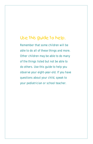### Use this guide to help.

Remember that some children will be able to do all of these things and more. Other children may be able to do many of the things listed but not be able to do others. Use this guide to help you observe your eight-year-old. If you have questions about your child, speak to your pediatrician or school teacher.